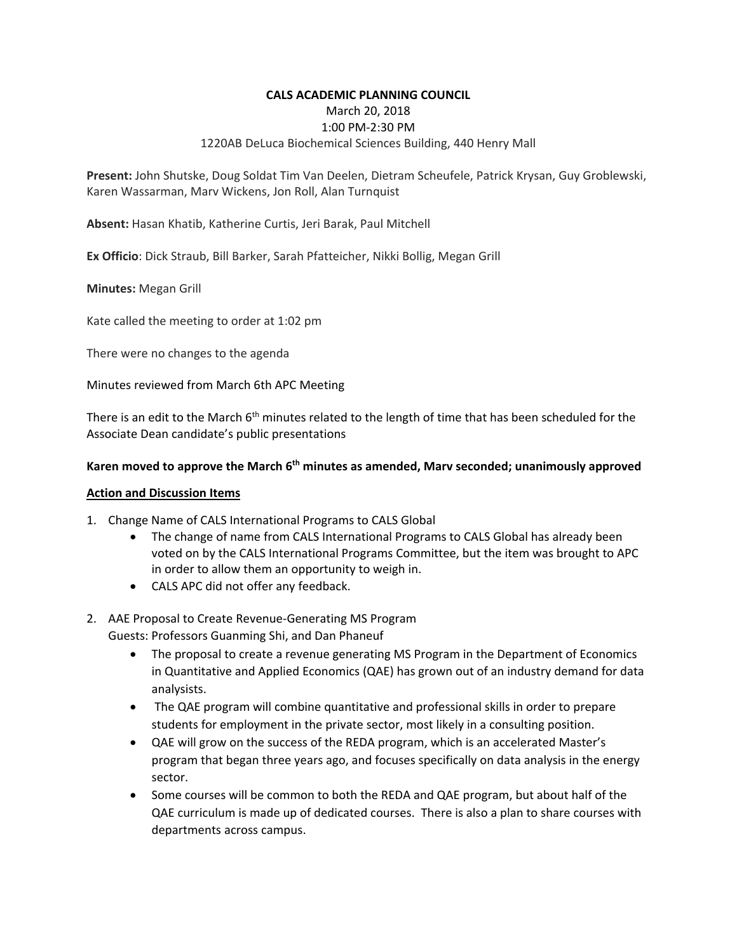### **CALS ACADEMIC PLANNING COUNCIL**

March 20, 2018

### 1:00 PM‐2:30 PM

## 1220AB DeLuca Biochemical Sciences Building, 440 Henry Mall

**Present:** John Shutske, Doug Soldat Tim Van Deelen, Dietram Scheufele, Patrick Krysan, Guy Groblewski, Karen Wassarman, Marv Wickens, Jon Roll, Alan Turnquist

**Absent:** Hasan Khatib, Katherine Curtis, Jeri Barak, Paul Mitchell

**Ex Officio**: Dick Straub, Bill Barker, Sarah Pfatteicher, Nikki Bollig, Megan Grill

**Minutes:** Megan Grill

Kate called the meeting to order at 1:02 pm

There were no changes to the agenda

Minutes reviewed from March 6th APC Meeting

There is an edit to the March 6<sup>th</sup> minutes related to the length of time that has been scheduled for the Associate Dean candidate's public presentations

## **Karen moved to approve the March 6th minutes as amended, Marv seconded; unanimously approved**

#### **Action and Discussion Items**

- 1. Change Name of CALS International Programs to CALS Global
	- The change of name from CALS International Programs to CALS Global has already been voted on by the CALS International Programs Committee, but the item was brought to APC in order to allow them an opportunity to weigh in.
	- CALS APC did not offer any feedback.

# 2. AAE Proposal to Create Revenue‐Generating MS Program

Guests: Professors Guanming Shi, and Dan Phaneuf

- The proposal to create a revenue generating MS Program in the Department of Economics in Quantitative and Applied Economics (QAE) has grown out of an industry demand for data analysists.
- The QAE program will combine quantitative and professional skills in order to prepare students for employment in the private sector, most likely in a consulting position.
- QAE will grow on the success of the REDA program, which is an accelerated Master's program that began three years ago, and focuses specifically on data analysis in the energy sector.
- Some courses will be common to both the REDA and QAE program, but about half of the QAE curriculum is made up of dedicated courses. There is also a plan to share courses with departments across campus.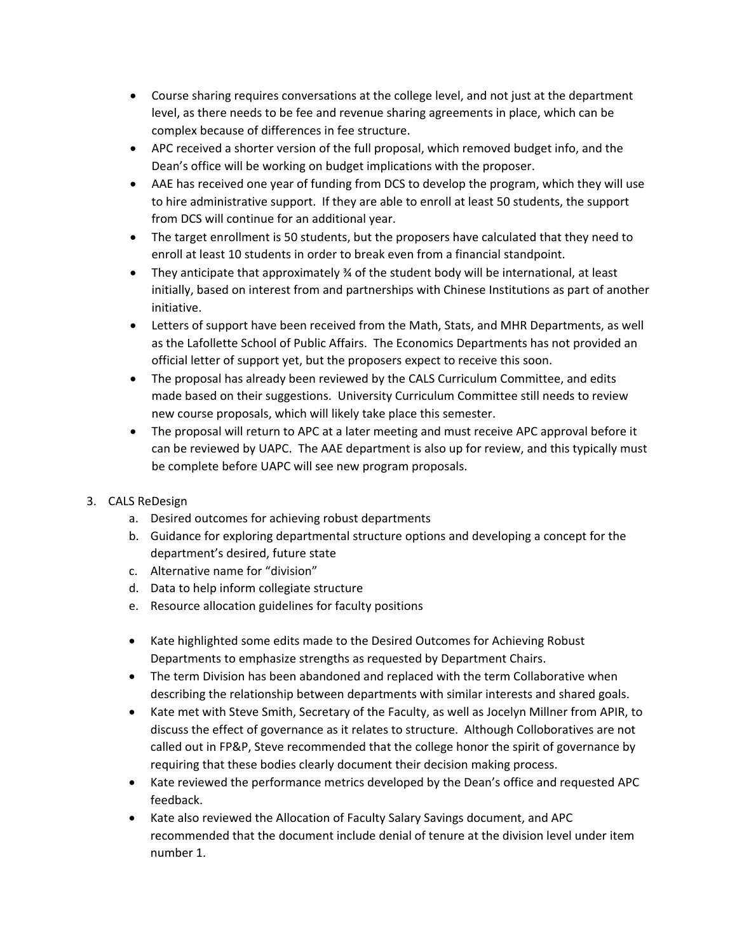- Course sharing requires conversations at the college level, and not just at the department level, as there needs to be fee and revenue sharing agreements in place, which can be complex because of differences in fee structure.
- APC received a shorter version of the full proposal, which removed budget info, and the Dean's office will be working on budget implications with the proposer.
- AAE has received one year of funding from DCS to develop the program, which they will use to hire administrative support. If they are able to enroll at least 50 students, the support from DCS will continue for an additional year.
- The target enrollment is 50 students, but the proposers have calculated that they need to enroll at least 10 students in order to break even from a financial standpoint.
- They anticipate that approximately ¾ of the student body will be international, at least initially, based on interest from and partnerships with Chinese Institutions as part of another initiative.
- Letters of support have been received from the Math, Stats, and MHR Departments, as well as the Lafollette School of Public Affairs. The Economics Departments has not provided an official letter of support yet, but the proposers expect to receive this soon.
- The proposal has already been reviewed by the CALS Curriculum Committee, and edits made based on their suggestions. University Curriculum Committee still needs to review new course proposals, which will likely take place this semester.
- The proposal will return to APC at a later meeting and must receive APC approval before it can be reviewed by UAPC. The AAE department is also up for review, and this typically must be complete before UAPC will see new program proposals.
- 3. CALS ReDesign
	- a. Desired outcomes for achieving robust departments
	- b. Guidance for exploring departmental structure options and developing a concept for the department's desired, future state
	- c. Alternative name for "division"
	- d. Data to help inform collegiate structure
	- e. Resource allocation guidelines for faculty positions
	- Kate highlighted some edits made to the Desired Outcomes for Achieving Robust Departments to emphasize strengths as requested by Department Chairs.
	- The term Division has been abandoned and replaced with the term Collaborative when describing the relationship between departments with similar interests and shared goals.
	- Kate met with Steve Smith, Secretary of the Faculty, as well as Jocelyn Millner from APIR, to discuss the effect of governance as it relates to structure. Although Colloboratives are not called out in FP&P, Steve recommended that the college honor the spirit of governance by requiring that these bodies clearly document their decision making process.
	- Kate reviewed the performance metrics developed by the Dean's office and requested APC feedback.
	- Kate also reviewed the Allocation of Faculty Salary Savings document, and APC recommended that the document include denial of tenure at the division level under item number 1.